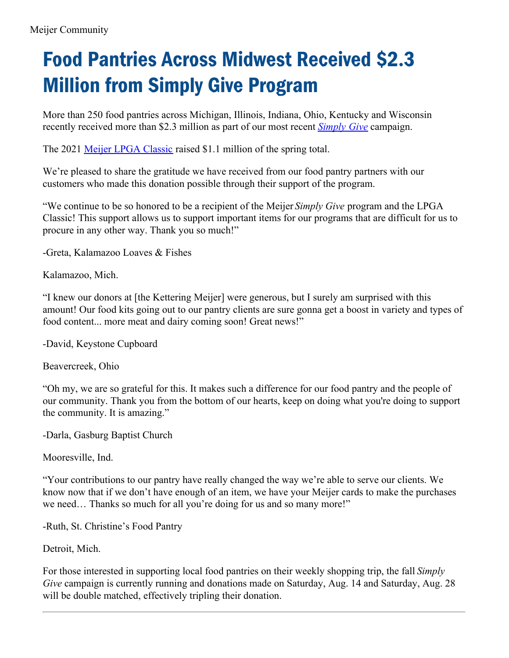## Food Pantries Across Midwest Received \$2.3 Million from Simply Give Program

More than 250 food pantries across Michigan, Illinois, Indiana, Ohio, Kentucky and Wisconsin recently received more than \$2.3 million as part of our most recent *[Simply](http://meijercommunity.com/simply-give) Give* campaign.

The 2021 Meijer LPGA [Classic](http://meijercommunity.com/meijer-lpga-classic) raised \$1.1 million of the spring total.

We're pleased to share the gratitude we have received from our food pantry partners with our customers who made this donation possible through their support of the program.

"We continue to be so honored to be a recipient of the Meijer *Simply Give* program and the LPGA Classic! This support allows us to support important items for our programs that are difficult for us to procure in any other way. Thank you so much!"

-Greta, Kalamazoo Loaves & Fishes

Kalamazoo, Mich.

"I knew our donors at [the Kettering Meijer] were generous, but I surely am surprised with this amount! Our food kits going out to our pantry clients are sure gonna get a boost in variety and types of food content... more meat and dairy coming soon! Great news!"

-David, Keystone Cupboard

Beavercreek, Ohio

"Oh my, we are so grateful for this. It makes such a difference for our food pantry and the people of our community. Thank you from the bottom of our hearts, keep on doing what you're doing to support the community. It is amazing."

-Darla, Gasburg Baptist Church

Mooresville, Ind.

"Your contributions to our pantry have really changed the way we're able to serve our clients. We know now that if we don't have enough of an item, we have your Meijer cards to make the purchases we need… Thanks so much for all you're doing for us and so many more!"

-Ruth, St. Christine's Food Pantry

Detroit, Mich.

For those interested in supporting local food pantries on their weekly shopping trip, the fall *Simply Give* campaign is currently running and donations made on Saturday, Aug. 14 and Saturday, Aug. 28 will be double matched, effectively tripling their donation.